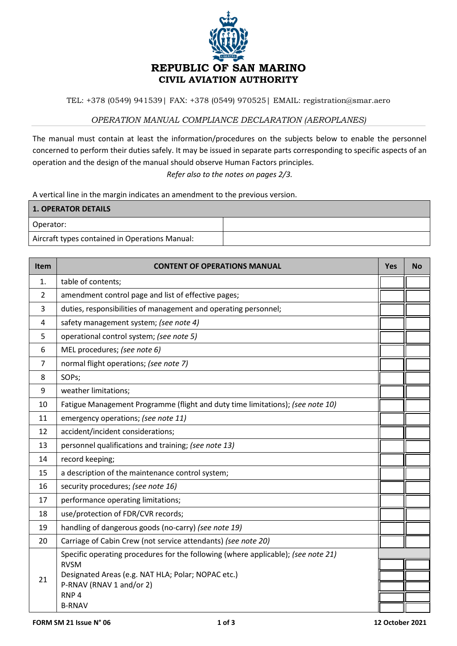

TEL: +378 (0549) 941539| FAX: +378 (0549) 970525| EMAIL: registration@smar.aero

## *OPERATION MANUAL COMPLIANCE DECLARATION (AEROPLANES)*

The manual must contain at least the information/procedures on the subjects below to enable the personnel concerned to perform their duties safely. It may be issued in separate parts corresponding to specific aspects of an operation and the design of the manual should observe Human Factors principles.

*Refer also to the notes on pages 2/3.*

A vertical line in the margin indicates an amendment to the previous version.

| <b>1. OPERATOR DETAILS</b>                     |  |
|------------------------------------------------|--|
| Operator:                                      |  |
| Aircraft types contained in Operations Manual: |  |

| Item           | <b>CONTENT OF OPERATIONS MANUAL</b>                                                                                                                                                | <b>Yes</b> | <b>No</b> |
|----------------|------------------------------------------------------------------------------------------------------------------------------------------------------------------------------------|------------|-----------|
| 1.             | table of contents;                                                                                                                                                                 |            |           |
| $\overline{2}$ | amendment control page and list of effective pages;                                                                                                                                |            |           |
| 3              | duties, responsibilities of management and operating personnel;                                                                                                                    |            |           |
| 4              | safety management system; (see note 4)                                                                                                                                             |            |           |
| 5              | operational control system; (see note 5)                                                                                                                                           |            |           |
| 6              | MEL procedures; (see note 6)                                                                                                                                                       |            |           |
| $\overline{7}$ | normal flight operations; (see note 7)                                                                                                                                             |            |           |
| 8              | SOPs;                                                                                                                                                                              |            |           |
| 9              | weather limitations;                                                                                                                                                               |            |           |
| 10             | Fatigue Management Programme (flight and duty time limitations); (see note 10)                                                                                                     |            |           |
| 11             | emergency operations; (see note 11)                                                                                                                                                |            |           |
| 12             | accident/incident considerations;                                                                                                                                                  |            |           |
| 13             | personnel qualifications and training; (see note 13)                                                                                                                               |            |           |
| 14             | record keeping;                                                                                                                                                                    |            |           |
| 15             | a description of the maintenance control system;                                                                                                                                   |            |           |
| 16             | security procedures; (see note 16)                                                                                                                                                 |            |           |
| 17             | performance operating limitations;                                                                                                                                                 |            |           |
| 18             | use/protection of FDR/CVR records;                                                                                                                                                 |            |           |
| 19             | handling of dangerous goods (no-carry) (see note 19)                                                                                                                               |            |           |
| 20             | Carriage of Cabin Crew (not service attendants) (see note 20)                                                                                                                      |            |           |
| 21             | Specific operating procedures for the following (where applicable); (see note 21)<br><b>RVSM</b><br>Designated Areas (e.g. NAT HLA; Polar; NOPAC etc.)<br>P-RNAV (RNAV 1 and/or 2) |            |           |
|                | RNP <sub>4</sub>                                                                                                                                                                   |            |           |
|                | <b>B-RNAV</b>                                                                                                                                                                      |            |           |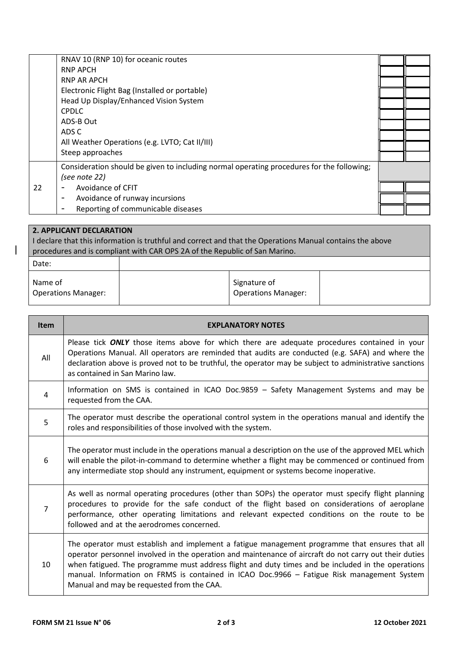|    | RNAV 10 (RNP 10) for oceanic routes                                                       |  |
|----|-------------------------------------------------------------------------------------------|--|
|    | <b>RNP APCH</b>                                                                           |  |
|    | <b>RNP AR APCH</b>                                                                        |  |
|    | Electronic Flight Bag (Installed or portable)                                             |  |
|    | Head Up Display/Enhanced Vision System                                                    |  |
|    | <b>CPDLC</b>                                                                              |  |
|    | ADS-B Out                                                                                 |  |
|    | ADS C                                                                                     |  |
|    | All Weather Operations (e.g. LVTO; Cat II/III)                                            |  |
|    | Steep approaches                                                                          |  |
|    | Consideration should be given to including normal operating procedures for the following; |  |
|    | (see note 22)                                                                             |  |
| 22 | Avoidance of CFIT                                                                         |  |
|    | Avoidance of runway incursions<br>$\overline{\phantom{a}}$                                |  |
|    | Reporting of communicable diseases                                                        |  |
|    |                                                                                           |  |

| 2. APPLICANT DECLARATION                                                                                                                                                                |  |                                            |  |
|-----------------------------------------------------------------------------------------------------------------------------------------------------------------------------------------|--|--------------------------------------------|--|
| I declare that this information is truthful and correct and that the Operations Manual contains the above<br>procedures and is compliant with CAR OPS 2A of the Republic of San Marino. |  |                                            |  |
|                                                                                                                                                                                         |  |                                            |  |
| Date:                                                                                                                                                                                   |  |                                            |  |
| Name of<br><b>Operations Manager:</b>                                                                                                                                                   |  | Signature of<br><b>Operations Manager:</b> |  |

| <b>Item</b>    | <b>EXPLANATORY NOTES</b>                                                                                                                                                                                                                                                                                                                                                                                                                                 |
|----------------|----------------------------------------------------------------------------------------------------------------------------------------------------------------------------------------------------------------------------------------------------------------------------------------------------------------------------------------------------------------------------------------------------------------------------------------------------------|
| All            | Please tick ONLY those items above for which there are adequate procedures contained in your<br>Operations Manual. All operators are reminded that audits are conducted (e.g. SAFA) and where the<br>declaration above is proved not to be truthful, the operator may be subject to administrative sanctions<br>as contained in San Marino law.                                                                                                          |
| $\overline{4}$ | Information on SMS is contained in ICAO Doc.9859 - Safety Management Systems and may be<br>requested from the CAA.                                                                                                                                                                                                                                                                                                                                       |
| 5              | The operator must describe the operational control system in the operations manual and identify the<br>roles and responsibilities of those involved with the system.                                                                                                                                                                                                                                                                                     |
| 6              | The operator must include in the operations manual a description on the use of the approved MEL which<br>will enable the pilot-in-command to determine whether a flight may be commenced or continued from<br>any intermediate stop should any instrument, equipment or systems become inoperative.                                                                                                                                                      |
| $\overline{7}$ | As well as normal operating procedures (other than SOPs) the operator must specify flight planning<br>procedures to provide for the safe conduct of the flight based on considerations of aeroplane<br>performance, other operating limitations and relevant expected conditions on the route to be<br>followed and at the aerodromes concerned.                                                                                                         |
| 10             | The operator must establish and implement a fatigue management programme that ensures that all<br>operator personnel involved in the operation and maintenance of aircraft do not carry out their duties<br>when fatigued. The programme must address flight and duty times and be included in the operations<br>manual. Information on FRMS is contained in ICAO Doc.9966 - Fatigue Risk management System<br>Manual and may be requested from the CAA. |

 $\begin{array}{c} \hline \end{array}$